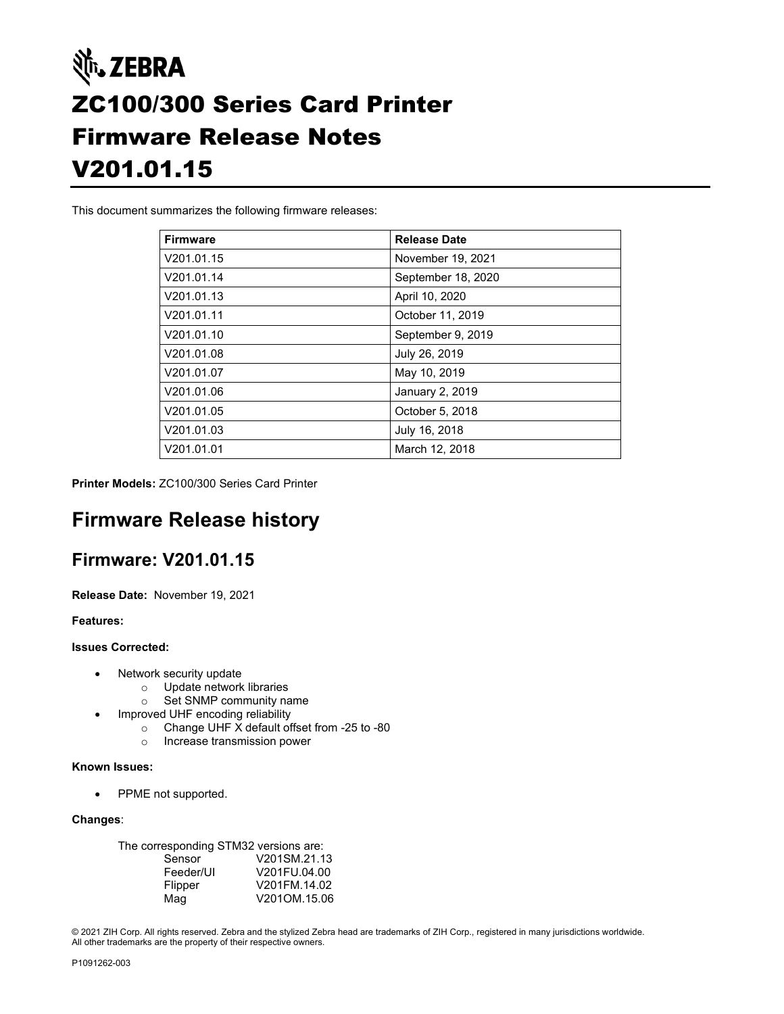# Nit. ZEBRA ZC100/300 Series Card Printer Firmware Release Notes V201.01.15

This document summarizes the following firmware releases:

| <b>Firmware</b> | <b>Release Date</b> |
|-----------------|---------------------|
| V201.01.15      | November 19, 2021   |
| V201.01.14      | September 18, 2020  |
| V201.01.13      | April 10, 2020      |
| V201.01.11      | October 11, 2019    |
| V201.01.10      | September 9, 2019   |
| V201.01.08      | July 26, 2019       |
| V201.01.07      | May 10, 2019        |
| V201.01.06      | January 2, 2019     |
| V201.01.05      | October 5, 2018     |
| V201.01.03      | July 16, 2018       |
| V201.01.01      | March 12, 2018      |

**Printer Models:** ZC100/300 Series Card Printer

# **Firmware Release history**

### **Firmware: V201.01.15**

**Release Date:** November 19, 2021

**Features:**

#### **Issues Corrected:**

- Network security update
	- o Update network libraries
	- o Set SNMP community name
- Improved UHF encoding reliability
	- o Change UHF X default offset from -25 to -80
	- o Increase transmission power

#### **Known Issues:**

• PPME not supported.

#### **Changes**:

| The corresponding STM32 versions are: |              |
|---------------------------------------|--------------|
| Sensor                                | V201SM.21.13 |
| Feeder/UI                             | V201FU.04.00 |
| Flipper                               | V201FM.14.02 |
| Mag                                   | V201OM.15.06 |

© 2021 ZIH Corp. All rights reserved. Zebra and the stylized Zebra head are trademarks of ZIH Corp., registered in many jurisdictions worldwide. All other trademarks are the property of their respective owners.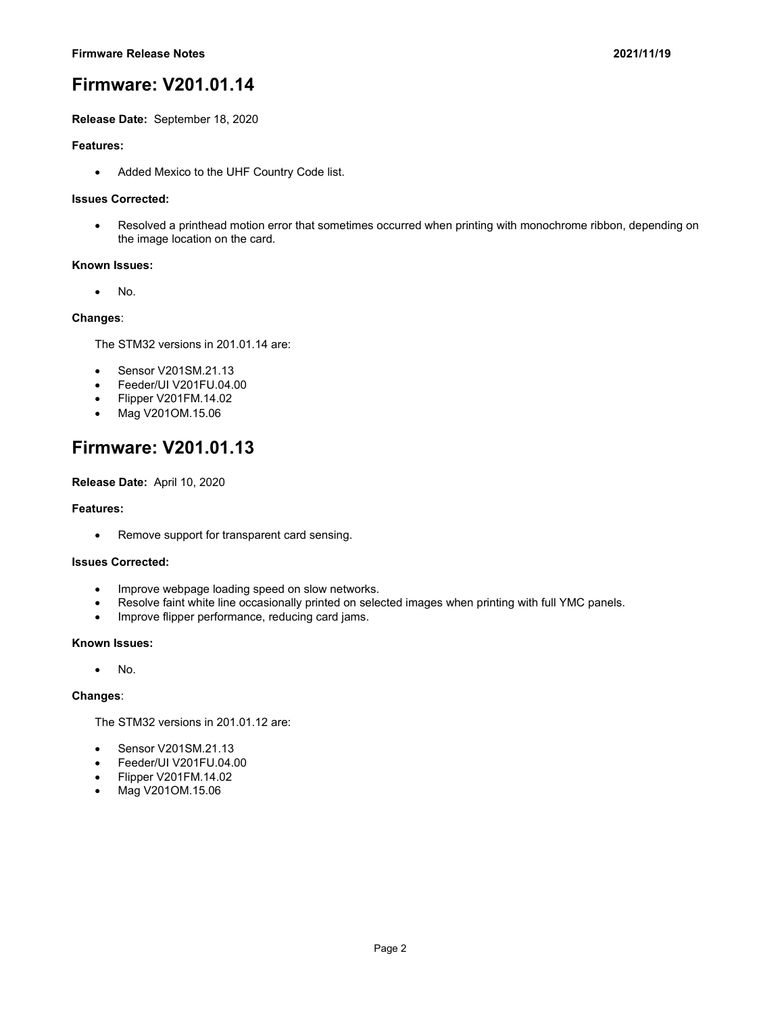**Release Date:** September 18, 2020

#### **Features:**

• Added Mexico to the UHF Country Code list.

#### **Issues Corrected:**

• Resolved a printhead motion error that sometimes occurred when printing with monochrome ribbon, depending on the image location on the card.

#### **Known Issues:**

• No.

#### **Changes**:

The STM32 versions in 201.01.14 are:

- Sensor V201SM.21.13
- Feeder/UI V201FU.04.00
- Flipper V201FM.14.02
- Mag V201OM.15.06

# **Firmware: V201.01.13**

**Release Date:** April 10, 2020

#### **Features:**

• Remove support for transparent card sensing.

#### **Issues Corrected:**

- Improve webpage loading speed on slow networks.
- Resolve faint white line occasionally printed on selected images when printing with full YMC panels.
- Improve flipper performance, reducing card jams.

#### **Known Issues:**

• No.

#### **Changes**:

The STM32 versions in 201.01.12 are:

- Sensor V201SM.21.13
- Feeder/UI V201FU.04.00
- Flipper V201FM.14.02
- Mag V201OM.15.06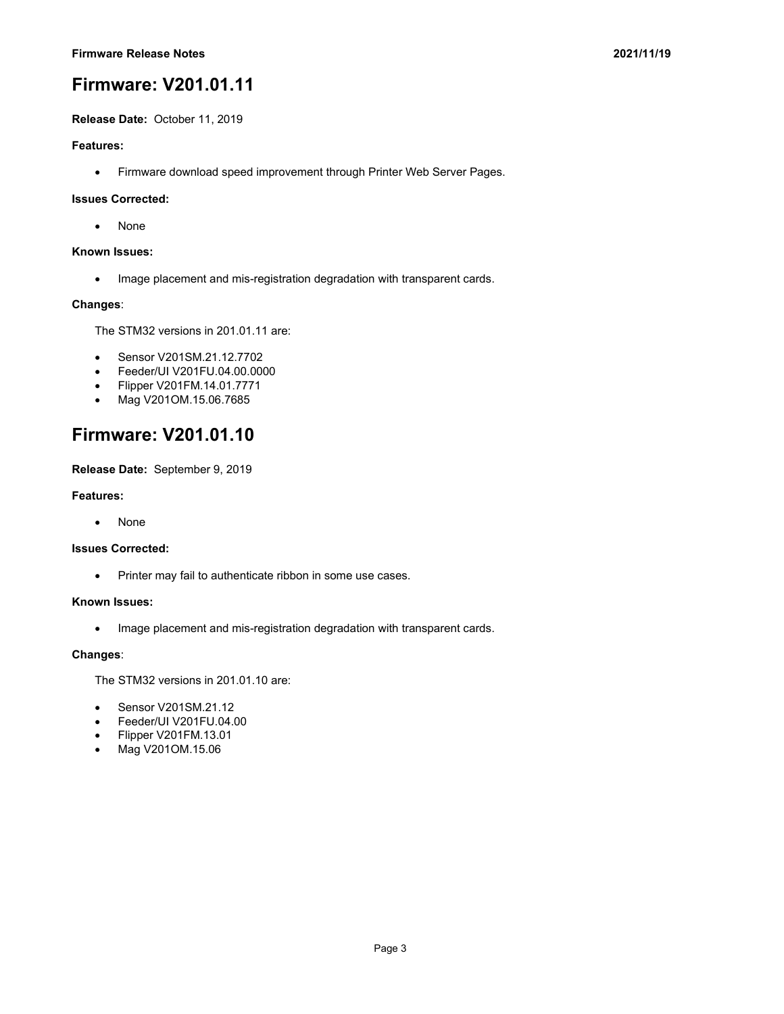**Release Date:** October 11, 2019

#### **Features:**

• Firmware download speed improvement through Printer Web Server Pages.

#### **Issues Corrected:**

• None

#### **Known Issues:**

• Image placement and mis-registration degradation with transparent cards.

#### **Changes**:

The STM32 versions in 201.01.11 are:

- Sensor V201SM.21.12.7702
- Feeder/UI V201FU.04.00.0000
- Flipper V201FM.14.01.7771
- Mag V201OM.15.06.7685

# **Firmware: V201.01.10**

**Release Date:** September 9, 2019

#### **Features:**

• None

#### **Issues Corrected:**

• Printer may fail to authenticate ribbon in some use cases.

#### **Known Issues:**

• Image placement and mis-registration degradation with transparent cards.

#### **Changes**:

The STM32 versions in 201.01.10 are:

- Sensor V201SM.21.12
- Feeder/UI V201FU.04.00
- Flipper V201FM.13.01
- Mag V201OM.15.06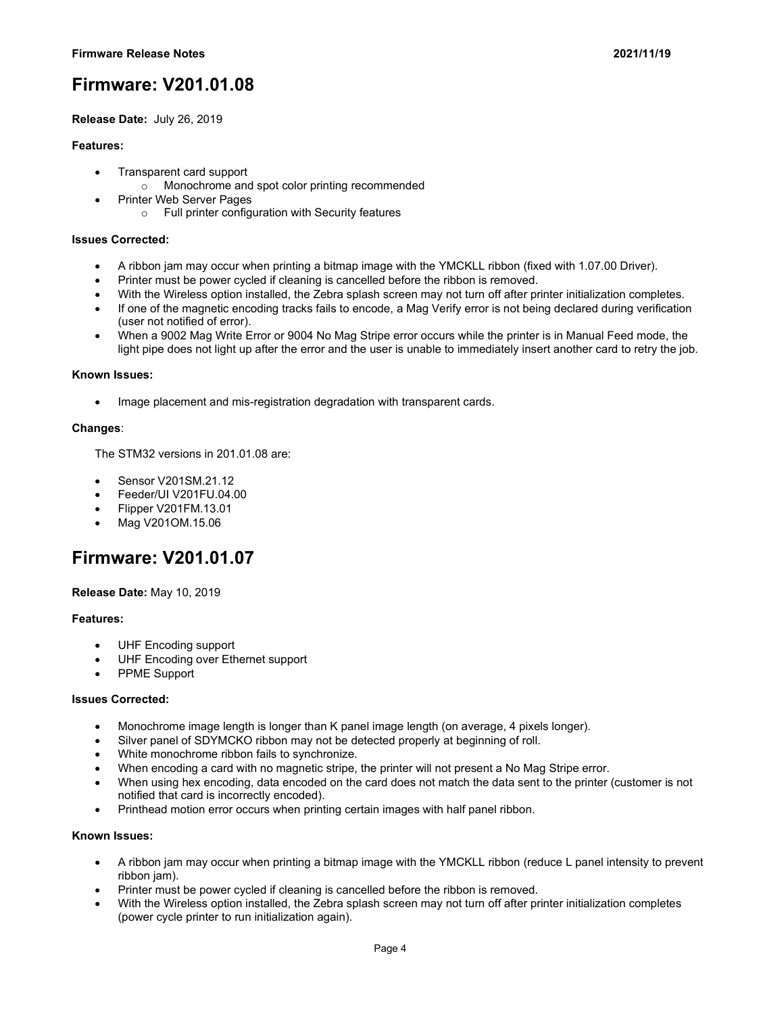**Release Date:** July 26, 2019

#### **Features:**

- Transparent card support
	- o Monochrome and spot color printing recommended
- Printer Web Server Pages
	- o Full printer configuration with Security features

#### **Issues Corrected:**

- A ribbon jam may occur when printing a bitmap image with the YMCKLL ribbon (fixed with 1.07.00 Driver).
- Printer must be power cycled if cleaning is cancelled before the ribbon is removed.
- With the Wireless option installed, the Zebra splash screen may not turn off after printer initialization completes.
- If one of the magnetic encoding tracks fails to encode, a Mag Verify error is not being declared during verification (user not notified of error).
- When a 9002 Mag Write Error or 9004 No Mag Stripe error occurs while the printer is in Manual Feed mode, the light pipe does not light up after the error and the user is unable to immediately insert another card to retry the job.

#### **Known Issues:**

• Image placement and mis-registration degradation with transparent cards.

#### **Changes**:

The STM32 versions in 201.01.08 are:

- Sensor V201SM.21.12
- Feeder/UI V201FU.04.00
- Flipper V201FM.13.01
- Mag V201OM.15.06

# **Firmware: V201.01.07**

#### **Release Date:** May 10, 2019

#### **Features:**

- UHF Encoding support
- UHF Encoding over Ethernet support
- PPME Support

#### **Issues Corrected:**

- Monochrome image length is longer than K panel image length (on average, 4 pixels longer).
- Silver panel of SDYMCKO ribbon may not be detected properly at beginning of roll.
- White monochrome ribbon fails to synchronize.
- When encoding a card with no magnetic stripe, the printer will not present a No Mag Stripe error.
- When using hex encoding, data encoded on the card does not match the data sent to the printer (customer is not notified that card is incorrectly encoded).
- Printhead motion error occurs when printing certain images with half panel ribbon.

#### **Known Issues:**

- A ribbon jam may occur when printing a bitmap image with the YMCKLL ribbon (reduce L panel intensity to prevent ribbon jam).
- Printer must be power cycled if cleaning is cancelled before the ribbon is removed.
- With the Wireless option installed, the Zebra splash screen may not turn off after printer initialization completes (power cycle printer to run initialization again).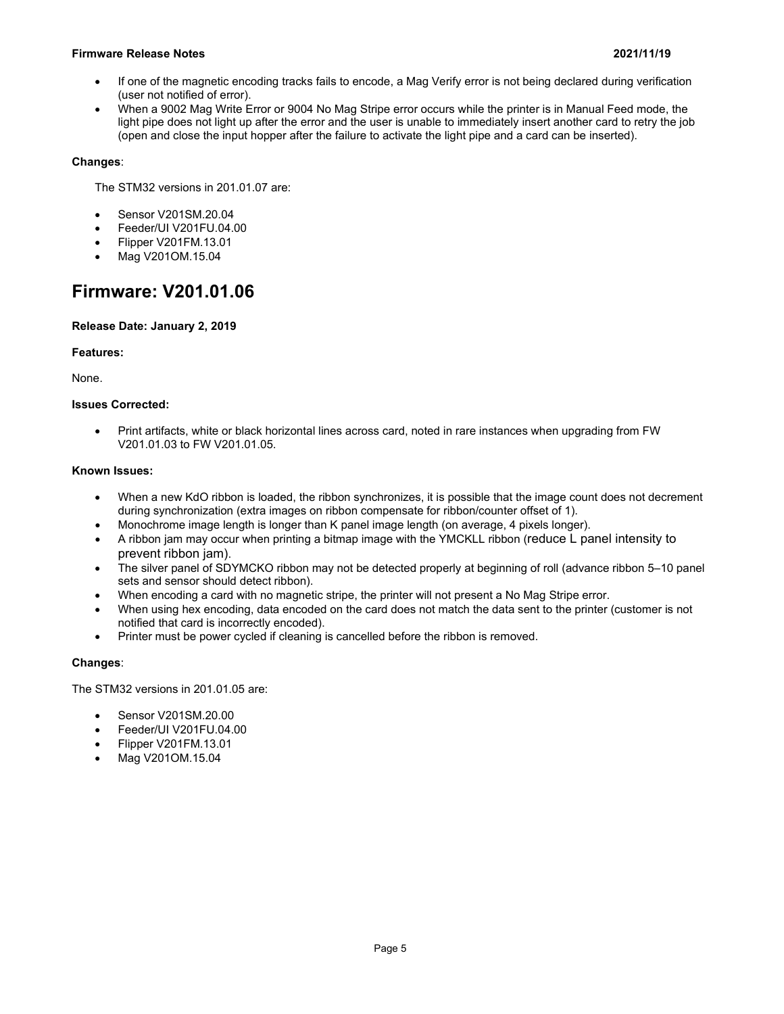#### **Firmware Release Notes 2021/11/19**

- If one of the magnetic encoding tracks fails to encode, a Mag Verify error is not being declared during verification (user not notified of error).
- When a 9002 Mag Write Error or 9004 No Mag Stripe error occurs while the printer is in Manual Feed mode, the light pipe does not light up after the error and the user is unable to immediately insert another card to retry the job (open and close the input hopper after the failure to activate the light pipe and a card can be inserted).

#### **Changes**:

The STM32 versions in 201.01.07 are:

- Sensor V201SM.20.04
- Feeder/UI V201FU.04.00
- Flipper V201FM.13.01
- Mag V201OM.15.04

# **Firmware: V201.01.06**

#### **Release Date: January 2, 2019**

#### **Features:**

None.

#### **Issues Corrected:**

• Print artifacts, white or black horizontal lines across card, noted in rare instances when upgrading from FW V201.01.03 to FW V201.01.05.

#### **Known Issues:**

- When a new KdO ribbon is loaded, the ribbon synchronizes, it is possible that the image count does not decrement during synchronization (extra images on ribbon compensate for ribbon/counter offset of 1).
- Monochrome image length is longer than K panel image length (on average, 4 pixels longer).
- A ribbon jam may occur when printing a bitmap image with the YMCKLL ribbon (reduce L panel intensity to prevent ribbon jam).
- The silver panel of SDYMCKO ribbon may not be detected properly at beginning of roll (advance ribbon 5–10 panel sets and sensor should detect ribbon).
- When encoding a card with no magnetic stripe, the printer will not present a No Mag Stripe error.
- When using hex encoding, data encoded on the card does not match the data sent to the printer (customer is not notified that card is incorrectly encoded).
- Printer must be power cycled if cleaning is cancelled before the ribbon is removed.

#### **Changes**:

The STM32 versions in 201.01.05 are:

- Sensor V201SM.20.00
- Feeder/UI V201FU.04.00
- Flipper V201FM.13.01
- Mag V201OM.15.04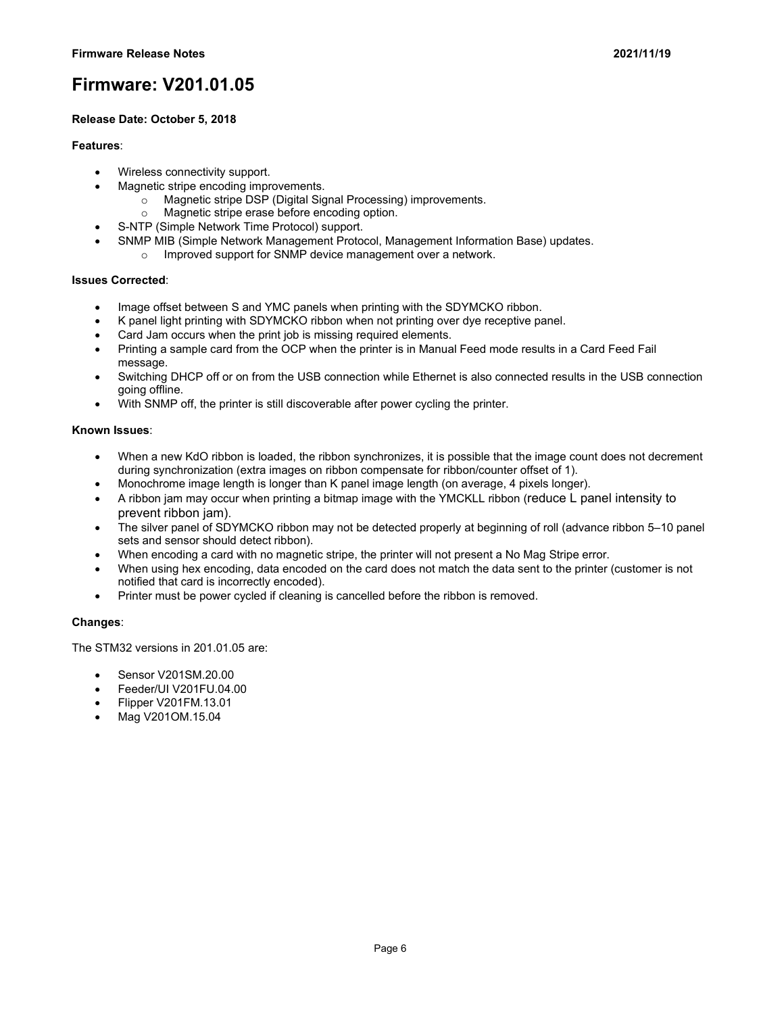#### **Release Date: October 5, 2018**

#### **Features**:

- Wireless connectivity support.
- Magnetic stripe encoding improvements.
	- o Magnetic stripe DSP (Digital Signal Processing) improvements.
	- o Magnetic stripe erase before encoding option.
	- S-NTP (Simple Network Time Protocol) support.
- SNMP MIB (Simple Network Management Protocol, Management Information Base) updates.
	- o Improved support for SNMP device management over a network.

#### **Issues Corrected**:

- Image offset between S and YMC panels when printing with the SDYMCKO ribbon.
- K panel light printing with SDYMCKO ribbon when not printing over dye receptive panel.
- Card Jam occurs when the print job is missing required elements.
- Printing a sample card from the OCP when the printer is in Manual Feed mode results in a Card Feed Fail message.
- Switching DHCP off or on from the USB connection while Ethernet is also connected results in the USB connection going offline.
- With SNMP off, the printer is still discoverable after power cycling the printer.

#### **Known Issues**:

- When a new KdO ribbon is loaded, the ribbon synchronizes, it is possible that the image count does not decrement during synchronization (extra images on ribbon compensate for ribbon/counter offset of 1).
- Monochrome image length is longer than K panel image length (on average, 4 pixels longer).
- A ribbon jam may occur when printing a bitmap image with the YMCKLL ribbon (reduce L panel intensity to prevent ribbon jam).
- The silver panel of SDYMCKO ribbon may not be detected properly at beginning of roll (advance ribbon 5–10 panel sets and sensor should detect ribbon).
- When encoding a card with no magnetic stripe, the printer will not present a No Mag Stripe error.
- When using hex encoding, data encoded on the card does not match the data sent to the printer (customer is not notified that card is incorrectly encoded).
- Printer must be power cycled if cleaning is cancelled before the ribbon is removed.

#### **Changes**:

The STM32 versions in 201.01.05 are:

- Sensor V201SM.20.00
- Feeder/UI V201FU.04.00
- Flipper V201FM.13.01
- Mag V201OM.15.04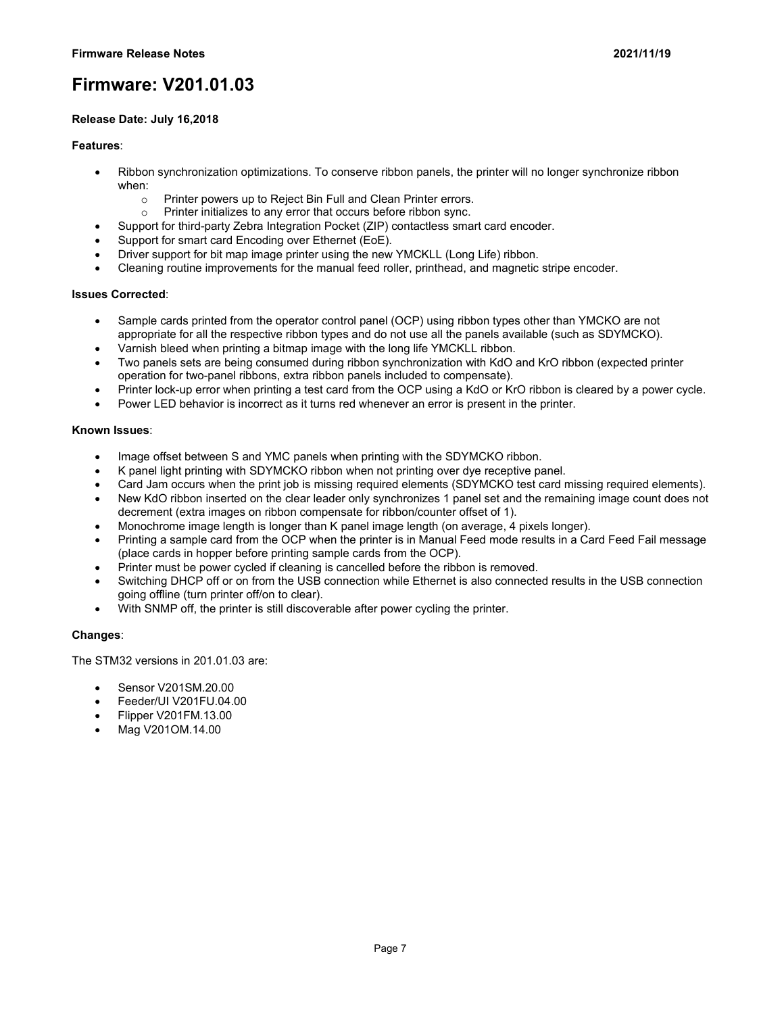#### **Release Date: July 16,2018**

#### **Features**:

- Ribbon synchronization optimizations. To conserve ribbon panels, the printer will no longer synchronize ribbon when:
	- $\circ$  Printer powers up to Reject Bin Full and Clean Printer errors.<br>  $\circ$  Printer initializes to any error that occurs before ribbon sync.
	- Printer initializes to any error that occurs before ribbon sync.
	- Support for third-party Zebra Integration Pocket (ZIP) contactless smart card encoder.
- Support for smart card Encoding over Ethernet (EoE).
- Driver support for bit map image printer using the new YMCKLL (Long Life) ribbon.
- Cleaning routine improvements for the manual feed roller, printhead, and magnetic stripe encoder.

#### **Issues Corrected**:

- Sample cards printed from the operator control panel (OCP) using ribbon types other than YMCKO are not appropriate for all the respective ribbon types and do not use all the panels available (such as SDYMCKO).
- Varnish bleed when printing a bitmap image with the long life YMCKLL ribbon.
- Two panels sets are being consumed during ribbon synchronization with KdO and KrO ribbon (expected printer operation for two-panel ribbons, extra ribbon panels included to compensate).
- Printer lock-up error when printing a test card from the OCP using a KdO or KrO ribbon is cleared by a power cycle.
- Power LED behavior is incorrect as it turns red whenever an error is present in the printer.

#### **Known Issues**:

- Image offset between S and YMC panels when printing with the SDYMCKO ribbon.
- K panel light printing with SDYMCKO ribbon when not printing over dye receptive panel.
- Card Jam occurs when the print job is missing required elements (SDYMCKO test card missing required elements).
- New KdO ribbon inserted on the clear leader only synchronizes 1 panel set and the remaining image count does not decrement (extra images on ribbon compensate for ribbon/counter offset of 1).
- Monochrome image length is longer than K panel image length (on average, 4 pixels longer).
- Printing a sample card from the OCP when the printer is in Manual Feed mode results in a Card Feed Fail message (place cards in hopper before printing sample cards from the OCP).
- Printer must be power cycled if cleaning is cancelled before the ribbon is removed.
- Switching DHCP off or on from the USB connection while Ethernet is also connected results in the USB connection going offline (turn printer off/on to clear).
- With SNMP off, the printer is still discoverable after power cycling the printer.

#### **Changes**:

The STM32 versions in 201.01.03 are:

- Sensor V201SM.20.00
- Feeder/UI V201FU.04.00
- Flipper V201FM.13.00
- Mag V201OM.14.00